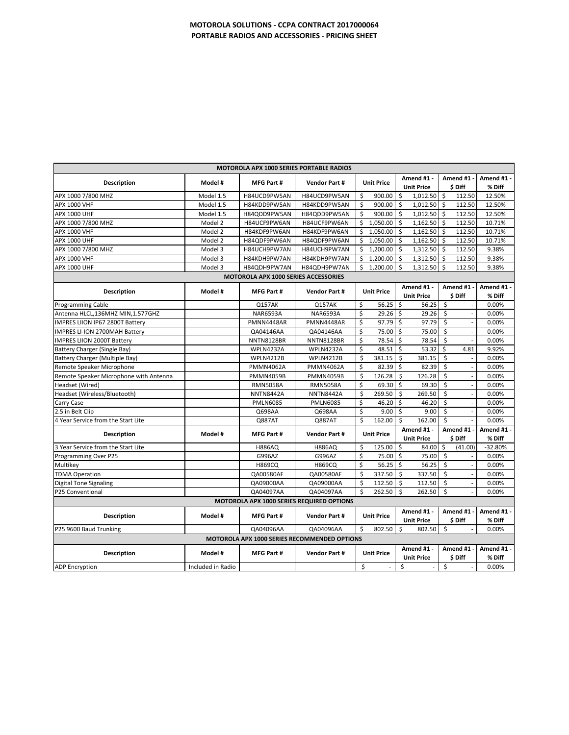| <b>MOTOROLA APX 1000 SERIES PORTABLE RADIOS</b> |                   |                                      |                           |                                  |                                   |                                     |                    |
|-------------------------------------------------|-------------------|--------------------------------------|---------------------------|----------------------------------|-----------------------------------|-------------------------------------|--------------------|
| Description                                     | Model #           | <b>MFG Part#</b>                     | <b>Vendor Part#</b>       | <b>Unit Price</b>                | Amend #1 -                        | Amend #1 -                          | Amend #1 -         |
|                                                 |                   |                                      |                           |                                  | <b>Unit Price</b>                 | \$ Diff                             | % Diff             |
| APX 1000 7/800 MHZ                              | Model 1.5         | H84UCD9PW5AN                         | H84UCD9PW5AN              | \$<br>900.00                     | \$<br>1,012.50                    | \$<br>112.50                        | 12.50%             |
| APX 1000 VHF                                    | Model 1.5         | H84KDD9PW5AN                         | H84KDD9PW5AN              | Ś<br>900.00                      | $\sf S$<br>$1,012.50$ \$          | 112.50                              | 12.50%             |
| <b>APX 1000 UHF</b>                             | Model 1.5         | H84QDD9PW5AN                         | H84QDD9PW5AN              | \$<br>900.00                     | \$<br>1,012.50                    | \$<br>112.50                        | 12.50%             |
| APX 1000 7/800 MHZ                              | Model 2           | H84UCF9PW6AN                         | H84UCF9PW6AN              | \$<br>1,050.00                   | \$<br>1,162.50                    | \$<br>112.50                        | 10.71%             |
| <b>APX 1000 VHF</b>                             | Model 2           | H84KDF9PW6AN                         | H84KDF9PW6AN              | 1,050.00<br>Ś                    | \$<br>1,162.50                    | \$<br>112.50                        | 10.71%             |
| APX 1000 UHF                                    | Model 2           | H84QDF9PW6AN                         | H84QDF9PW6AN              | Ś<br>1,050.00                    | Ŝ.<br>1,162.50                    | \$<br>112.50                        | 10.71%             |
| APX 1000 7/800 MHZ                              | Model 3           | H84UCH9PW7AN                         | H84UCH9PW7AN              | Ś<br>1,200.00                    | $\mathsf{S}$<br>1,312.50          | \$<br>112.50                        | 9.38%              |
| APX 1000 VHF                                    | Model 3           | H84KDH9PW7AN                         | H84KDH9PW7AN              | Ś<br>1,200.00                    | Ś<br>1,312.50                     | Ś.<br>112.50                        | 9.38%              |
| APX 1000 UHF                                    | Model 3           | H84QDH9PW7AN                         | H84QDH9PW7AN              | Ś<br>1,200.00                    | Ś<br>1,312.50                     | Ś.<br>112.50                        | 9.38%              |
|                                                 |                   | MOTOROLA APX 1000 SERIES ACCESSORIES |                           |                                  |                                   |                                     |                    |
| <b>Description</b>                              | Model #           | MFG Part #                           | <b>Vendor Part #</b>      | <b>Unit Price</b>                | Amend #1 -                        | Amend #1                            | Amend #1 -         |
|                                                 |                   |                                      |                           | \$                               | <b>Unit Price</b><br>\$           | \$ Diff<br>$\mathsf{S}$             | % Diff             |
| Programming Cable                               |                   | Q157AK<br><b>NAR6593A</b>            | Q157AK<br><b>NAR6593A</b> | 56.25<br>Ś<br>29.26              | 56.25<br>\$<br>29.26              | $\mathsf{S}$                        | 0.00%<br>0.00%     |
| Antenna HLCL,136MHZ MIN,1.577GHZ                |                   |                                      |                           | \$<br>97.79                      |                                   |                                     |                    |
| IMPRES LIION IP67 2800T Battery                 |                   | PMNN4448AR                           | PMNN4448AR                | Ś<br>75.00                       | \$<br>97.79<br>$\mathsf{\hat{S}}$ | \$<br>$\zeta$                       | 0.00%<br>0.00%     |
| IMPRES LI-ION 2700MAH Battery                   |                   | QA04146AA                            | QA04146AA                 |                                  | 75.00                             |                                     |                    |
| <b>IMPRES LIION 2000T Battery</b>               |                   | <b>NNTN8128BR</b>                    | <b>NNTN8128BR</b>         | \$<br>78.54                      | \$<br>78.54                       | \$                                  | 0.00%              |
| Battery Charger (Single Bay)                    |                   | WPLN4232A                            | WPLN4232A                 | \$<br>48.51                      | \$<br>53.32                       | \$<br>4.81                          | 9.92%              |
| Battery Charger (Multiple Bay)                  |                   | <b>WPLN4212B</b>                     | WPLN4212B                 | Ś<br>381.15                      | Ś<br>381.15                       | Ŝ                                   | 0.00%              |
| Remote Speaker Microphone                       |                   | <b>PMMN4062A</b>                     | <b>PMMN4062A</b>          | \$<br>82.39                      | -\$<br>82.39                      | $\zeta$<br>$\overline{\phantom{a}}$ | 0.00%              |
| Remote Speaker Microphone with Antenna          |                   | <b>PMMN4059B</b>                     | <b>PMMN4059B</b>          | \$<br>126.28                     | -\$<br>126.28                     | $\zeta$                             | 0.00%              |
| Headset (Wired)                                 |                   | <b>RMN5058A</b>                      | <b>RMN5058A</b>           | Ś<br>69.30                       | $\mathsf{\hat{S}}$<br>69.30       | $\mathsf{\hat{S}}$<br>J.            | 0.00%              |
| Headset (Wireless/Bluetooth)                    |                   | <b>NNTN8442A</b>                     | <b>NNTN8442A</b>          | \$<br>269.50                     | \$<br>269.50                      | \$<br>$\mathsf{\hat{S}}$            | 0.00%              |
| Carry Case                                      |                   | <b>PMLN6085</b>                      | <b>PMLN6085</b>           | Ś<br>46.20                       | <sub>S</sub><br>46.20             |                                     | 0.00%              |
| 2.5 in Belt Clip                                |                   | Q698AA                               | Q698AA                    | \$<br>9.00                       | \$<br>9.00                        | \$                                  | 0.00%              |
| 4 Year Service from the Start Lite              |                   | Q887AT                               | Q887AT                    | \$<br>162.00                     | Ś<br>162.00                       | \$                                  | 0.00%              |
| <b>Description</b>                              | Model #           | <b>MFG Part#</b>                     | <b>Vendor Part #</b>      | <b>Unit Price</b>                | Amend #1 -<br><b>Unit Price</b>   | Amend #1 -<br>\$ Diff               | Amend #1<br>% Diff |
| 3 Year Service from the Start Lite              |                   | <b>H886AQ</b>                        | <b>H886AQ</b>             | \$<br>125.00                     | \$<br>84.00                       | \$<br>(41.00)                       | $-32.80%$          |
| Programming Over P25                            |                   | G996AZ                               | G996AZ                    | $\overline{\mathsf{S}}$<br>75.00 | $\mathsf{\hat{S}}$<br>75.00       | $\zeta$                             | 0.00%              |
| Multikey                                        |                   | <b>H869CQ</b>                        | <b>H869CQ</b>             | \$<br>56.25                      | S.<br>56.25                       | $\ddot{\mathsf{S}}$                 | 0.00%              |
| <b>TDMA Operation</b>                           |                   | QA00580AF                            | QA00580AF                 | Ś<br>337.50                      | <sub>S</sub><br>337.50            | $\mathsf{\hat{S}}$                  | 0.00%              |
| <b>Digital Tone Signaling</b>                   |                   | QA09000AA                            | QA09000AA                 | \$<br>112.50                     | \$<br>112.50                      | $\zeta$                             | 0.00%              |
| P25 Conventional                                |                   | QA04097AA                            | QA04097AA                 | \$<br>262.50                     | \$<br>262.50                      | \$                                  | 0.00%              |
| MOTOROLA APX 1000 SERIES REQUIRED OPTIONS       |                   |                                      |                           |                                  |                                   |                                     |                    |
| <b>Description</b>                              | Model #           | <b>MFG Part#</b>                     | <b>Vendor Part#</b>       | <b>Unit Price</b>                | Amend #1 -                        | Amend #1                            | Amend #1 -         |
|                                                 |                   |                                      |                           |                                  | <b>Unit Price</b>                 | \$ Diff                             | % Diff             |
| P25 9600 Baud Trunking                          |                   | QA04096AA                            | QA04096AA                 | 802.50<br>Ś                      | Ś<br>802.50                       | \$                                  | 0.00%              |
| MOTOROLA APX 1000 SERIES RECOMMENDED OPTIONS    |                   |                                      |                           |                                  |                                   |                                     |                    |
| Description                                     | Model #           | <b>MFG Part#</b>                     | <b>Vendor Part#</b>       | <b>Unit Price</b>                | Amend #1 -                        | Amend #1                            | Amend #1 -         |
|                                                 |                   |                                      |                           |                                  | <b>Unit Price</b>                 | \$ Diff                             | % Diff             |
| <b>ADP Encryption</b>                           | Included in Radio |                                      |                           | \$<br>÷,                         | \$<br>$\sim$                      | $\zeta$                             | 0.00%              |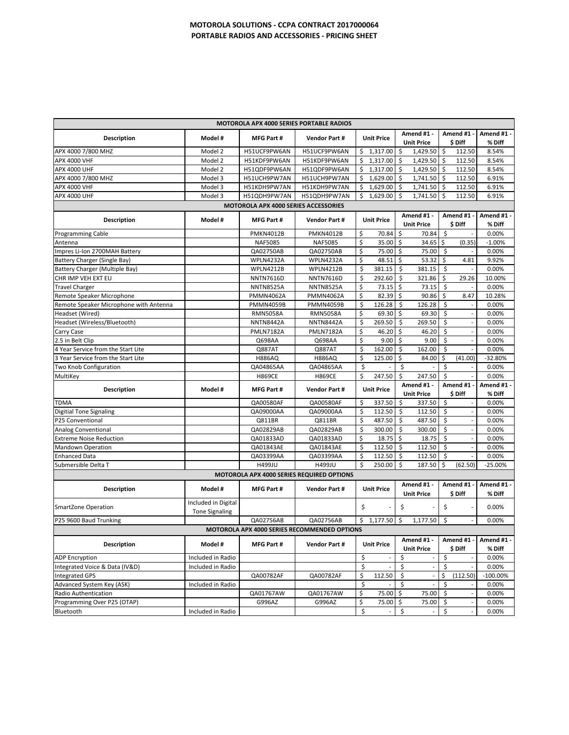| <b>MOTOROLA APX 4000 SERIES PORTABLE RADIOS</b> |                                              |                                      |                      |                                |                                     |                                                 |                            |
|-------------------------------------------------|----------------------------------------------|--------------------------------------|----------------------|--------------------------------|-------------------------------------|-------------------------------------------------|----------------------------|
|                                                 | Model #                                      | MFG Part #                           |                      | <b>Unit Price</b>              | Amend #1 -                          | Amend #1                                        | Amend #1 -                 |
| Description                                     |                                              |                                      | <b>Vendor Part#</b>  |                                | <b>Unit Price</b>                   | \$ Diff                                         | % Diff                     |
| APX 4000 7/800 MHZ                              | Model 2                                      | H51UCF9PW6AN                         | H51UCF9PW6AN         | Ś.<br>1,317.00                 | Ś<br>1,429.50                       | Ś<br>112.50                                     | 8.54%                      |
| <b>APX 4000 VHF</b>                             | Model 2                                      | H51KDF9PW6AN                         | H51KDF9PW6AN         | \$<br>1,317.00                 | \$<br>1,429.50                      | \$<br>112.50                                    | 8.54%                      |
| <b>APX 4000 UHF</b>                             | Model 2                                      | H51QDF9PW6AN                         | H51QDF9PW6AN         | Ŝ<br>1,317.00                  | -\$<br>1,429.50                     | \$<br>112.50                                    | 8.54%                      |
| APX 4000 7/800 MHZ                              | Model 3                                      | H51UCH9PW7AN                         | H51UCH9PW7AN         | \$<br>1,629.00                 | \$<br>1,741.50                      | \$<br>112.50                                    | 6.91%                      |
| APX 4000 VHF                                    | Model 3                                      | H51KDH9PW7AN                         | H51KDH9PW7AN         | $1,629.00$ \$<br>\$            | 1,741.50 \$                         | 112.50                                          | 6.91%                      |
| APX 4000 UHF                                    | Model 3                                      | H51QDH9PW7AN                         | H51QDH9PW7AN         | Ś<br>1,629.00                  | Ŝ.<br>1,741.50                      | Ś.<br>112.50                                    | 6.91%                      |
|                                                 |                                              | MOTOROLA APX 4000 SERIES ACCESSORIES |                      |                                |                                     |                                                 |                            |
| <b>Description</b>                              | Model #                                      | <b>MFG Part#</b>                     | <b>Vendor Part#</b>  | <b>Unit Price</b>              | Amend #1 -<br><b>Unit Price</b>     | Amend #1<br>\$ Diff                             | Amend #1 $\cdot$<br>% Diff |
| <b>Programming Cable</b>                        |                                              | <b>PMKN4012B</b>                     | <b>PMKN4012B</b>     | \$<br>70.84                    | \$<br>70.84                         | \$                                              | 0.00%                      |
| Antenna                                         |                                              | <b>NAF5085</b>                       | <b>NAF5085</b>       | \$<br>35.00 \$                 | 34.65                               | l\$<br>(0.35)                                   | $-1.00%$                   |
| Impres Li-Ion 2700MAH Battery                   |                                              | QA02750AB                            | QA02750AB            | \$<br>75.00                    | \$<br>75.00                         | -\$                                             | 0.00%                      |
| Battery Charger (Single Bay)                    |                                              | WPLN4232A                            | WPLN4232A            | \$<br>48.51                    | \$<br>53.32                         | \$<br>4.81                                      | 9.92%                      |
| Battery Charger (Multiple Bay)                  |                                              | WPLN4212B                            | <b>WPLN4212B</b>     | \$<br>381.15                   | \$<br>381.15                        | \$                                              | 0.00%                      |
| CHR IMP VEH EXT EU                              |                                              | <b>NNTN7616D</b>                     | <b>NNTN7616D</b>     | \$<br>292.60                   | $\zeta$<br>321.86                   | \$<br>29.26                                     | 10.00%                     |
| <b>Travel Charger</b>                           |                                              | <b>NNTN8525A</b>                     | <b>NNTN8525A</b>     | \$<br>73.15                    | $\ddot{\mathsf{S}}$<br>73.15        | \$                                              | 0.00%                      |
| Remote Speaker Microphone                       |                                              | <b>PMMN4062A</b>                     | <b>PMMN4062A</b>     | \$<br>82.39                    | \$<br>90.86                         | \$<br>8.47                                      | 10.28%                     |
| Remote Speaker Microphone with Antenna          |                                              | <b>PMMN4059B</b>                     | <b>PMMN4059B</b>     | \$<br>126.28                   | \$<br>126.28                        | \$                                              | 0.00%                      |
| Headset (Wired)                                 |                                              | <b>RMN5058A</b>                      | <b>RMN5058A</b>      | \$<br>69.30                    | \$<br>69.30                         | $\zeta$                                         | 0.00%                      |
| Headset (Wireless/Bluetooth)                    |                                              | <b>NNTN8442A</b>                     | <b>NNTN8442A</b>     | \$<br>269.50                   | \$<br>269.50                        | $\zeta$<br>$\overline{\phantom{a}}$             | 0.00%                      |
| Carry Case                                      |                                              | <b>PMLN7182A</b>                     | <b>PMLN7182A</b>     | \$<br>46.20                    | $\ddot{\mathsf{S}}$<br>46.20        | \$                                              | 0.00%                      |
| 2.5 in Belt Clip                                |                                              | Q698AA                               | Q698AA               | Ś<br>9.00                      | \$<br>9.00                          | $\mathsf{S}$<br>$\overline{\phantom{a}}$        | 0.00%                      |
| 4 Year Service from the Start Lite              |                                              | Q887AT                               | Q887AT               | \$<br>162.00                   | \$<br>162.00                        | \$                                              | 0.00%                      |
| 3 Year Service from the Start Lite              |                                              | <b>H886AQ</b>                        | <b>H886AQ</b>        | Ś<br>125.00                    | \$<br>84.00                         | \$<br>(41.00)                                   | $-32.80%$                  |
| Two Knob Configuration                          |                                              | QA04865AA                            | QA04865AA            | \$                             | \$                                  | $\zeta$                                         | 0.00%                      |
| MultiKey                                        |                                              | <b>H869CE</b>                        | <b>H869CE</b>        | \$<br>247.50                   | \$<br>247.50                        | $\zeta$                                         | 0.00%                      |
|                                                 |                                              |                                      |                      |                                | Amend #1 -                          | Amend #1                                        | Amend #1 -                 |
| Description                                     | Model #                                      | <b>MFG Part#</b>                     | <b>Vendor Part#</b>  | <b>Unit Price</b>              | <b>Unit Price</b>                   | \$ Diff                                         | % Diff                     |
| <b>TDMA</b>                                     |                                              | QA00580AF                            | QA00580AF            | \$<br>337.50                   | \$<br>337.50                        | \$                                              | 0.00%                      |
| <b>Digitial Tone Signaling</b>                  |                                              | QA09000AA                            | QA09000AA            | \$<br>112.50                   | \$<br>112.50                        | \$                                              | 0.00%                      |
| P25 Conventional                                |                                              | Q811BR                               | Q811BR               | \$<br>487.50                   | $\zeta$<br>487.50                   | \$                                              | 0.00%                      |
| <b>Analog Conventional</b>                      |                                              | QA02829AB                            | QA02829AB            | \$<br>300.00                   | \$<br>300.00                        | $\sf S$<br>$\overline{\phantom{a}}$             | 0.00%                      |
| <b>Extreme Noise Reduction</b>                  |                                              | QA01833AD                            | QA01833AD            | \$<br>18.75                    | \$<br>18.75                         | $\sf S$                                         | 0.00%                      |
| <b>Mandown Operation</b>                        |                                              | QA01843AE                            | QA01843AE            | Ś<br>112.50                    | Ŝ<br>112.50                         | \$                                              | 0.00%                      |
| <b>Enhanced Data</b>                            |                                              | QA03399AA                            | QA03399AA            | \$<br>112.50                   | \$<br>112.50                        | $\zeta$                                         | 0.00%                      |
| Submersible Delta T                             |                                              | H499JU                               | H499JU               | \$<br>250.00                   | \$<br>187.50                        | \$<br>(62.50)                                   | $-25.00%$                  |
| MOTOROLA APX 4000 SERIES REQUIRED OPTIONS       |                                              |                                      |                      |                                |                                     |                                                 |                            |
|                                                 |                                              |                                      |                      |                                | Amend #1 -                          | Amend#1                                         | Amend #1 -                 |
| <b>Description</b>                              | Model #                                      | <b>MFG Part#</b>                     | <b>Vendor Part#</b>  | <b>Unit Price</b>              | <b>Unit Price</b>                   | \$ Diff                                         | % Diff                     |
| <b>SmartZone Operation</b>                      | Included in Digital<br><b>Tone Signaling</b> |                                      |                      | \$                             | \$                                  | \$                                              | 0.00%                      |
| P25 9600 Baud Trunking                          |                                              | QA02756AB                            | QA02756AB            | \$<br>1,177.50                 | \$<br>1,177.50                      | \$                                              | 0.00%                      |
| MOTOROLA APX 4000 SERIES RECOMMENDED OPTIONS    |                                              |                                      |                      |                                |                                     |                                                 |                            |
|                                                 |                                              |                                      |                      |                                | Amend #1 -                          | Amend #1 -                                      | Amend #1 -                 |
| <b>Description</b>                              | Model #                                      | MFG Part #                           | <b>Vendor Part #</b> | <b>Unit Price</b>              | <b>Unit Price</b>                   | \$ Diff                                         | % Diff                     |
| <b>ADP Encryption</b>                           | Included in Radio                            |                                      |                      | \$<br>$\overline{\phantom{a}}$ | \$<br>$\overline{\phantom{a}}$      | \$<br>$\overline{\phantom{a}}$                  | 0.00%                      |
| Integrated Voice & Data (IV&D)                  | Included in Radio                            |                                      |                      | \$                             | \$                                  | \$                                              | 0.00%                      |
| <b>Integrated GPS</b>                           |                                              | QA00782AF                            | QA00782AF            | \$<br>112.50                   | $\zeta$<br>$\overline{\phantom{a}}$ | \$<br>(112.50)                                  | $-100.00\%$                |
| Advanced System Key (ASK)                       | Included in Radio                            |                                      |                      | \$                             | \$<br>$\frac{1}{2}$                 | \$                                              | 0.00%                      |
| Radio Authentication                            |                                              | QA01767AW                            | QA01767AW            | 75.00<br>\$                    | \$<br>75.00                         | $\ddot{\varsigma}$                              | 0.00%                      |
| Programming Over P25 (OTAP)                     |                                              | G996AZ                               | G996AZ               | \$<br>75.00 \$                 | 75.00                               | $\ddot{\mathsf{S}}$<br>$\overline{\phantom{a}}$ | 0.00%                      |
| Bluetooth                                       | Included in Radio                            |                                      |                      | \$<br>$\overline{\phantom{a}}$ | \$<br>$\overline{\phantom{a}}$      | \$                                              | 0.00%                      |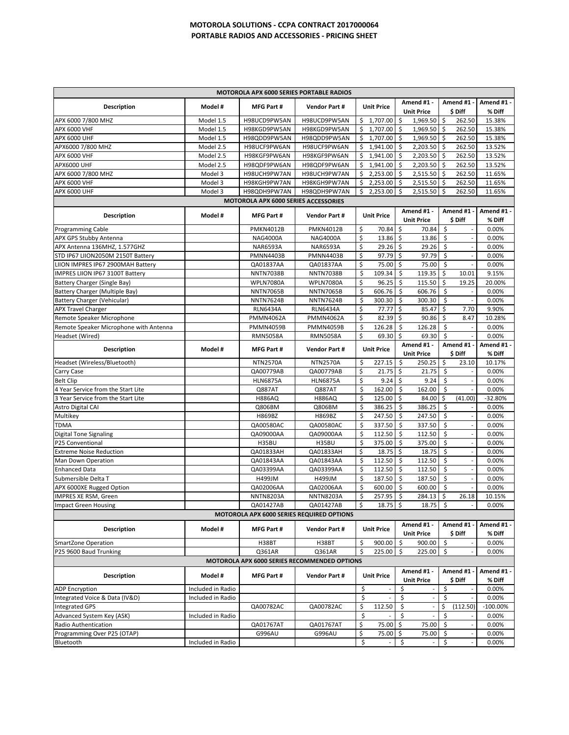## **MOTOROLA SOLUTIONS ‐ CCPA CONTRACT 2017000064 PORTABLE RADIOS AND ACCESSORIES ‐ PRICING SHEET**

| <b>MOTOROLA APX 6000 SERIES PORTABLE RADIOS</b>   |                   |                    |                        |                                |                                 |                                     |                      |
|---------------------------------------------------|-------------------|--------------------|------------------------|--------------------------------|---------------------------------|-------------------------------------|----------------------|
| <b>Description</b>                                | Model #           | <b>MFG Part#</b>   | <b>Vendor Part#</b>    | <b>Unit Price</b>              | Amend #1 -<br><b>Unit Price</b> | Amend #1 -<br>\$ Diff               | Amend #1 -<br>% Diff |
| APX 6000 7/800 MHZ                                | Model 1.5         | H98UCD9PW5AN       | H98UCD9PW5AN           | \$1,707.00                     | \$<br>1,969.50                  | \$<br>262.50                        | 15.38%               |
| <b>APX 6000 VHF</b>                               | Model 1.5         | H98KGD9PW5AN       | H98KGD9PW5AN           | \$<br>1,707.00                 | 1,969.50 \$<br>-\$              | 262.50                              | 15.38%               |
| <b>APX 6000 UHF</b>                               | Model 1.5         | H98QDD9PW5AN       | H98QDD9PW5AN           | \$<br>1,707.00                 | \$<br>1,969.50                  | S.<br>262.50                        | 15.38%               |
| APX6000 7/800 MHZ                                 | Model 2.5         | H98UCF9PW6AN       | H98UCF9PW6AN           | \$<br>$1,941.00$ \$            | 2,203.50                        | \$<br>262.50                        | 13.52%               |
| <b>APX 6000 VHF</b>                               | Model 2.5         | H98KGF9PW6AN       | H98KGF9PW6AN           | \$<br>1,941.00                 | Ŝ.<br>2,203.50                  | \$<br>262.50                        | 13.52%               |
| <b>APX6000 UHF</b>                                | Model 2.5         | H98QDF9PW6AN       | H98QDF9PW6AN           | \$<br>$1,941.00$ \$            | 2,203.50                        | \$<br>262.50                        | 13.52%               |
| APX 6000 7/800 MHZ                                | Model 3           | H98UCH9PW7AN       | H98UCH9PW7AN           | \$<br>$2,253.00$ \$            | 2,515.50 \$                     | 262.50                              | 11.65%               |
| <b>APX 6000 VHF</b>                               | Model 3           | H98KGH9PW7AN       | H98KGH9PW7AN           | \$<br>2,253.00                 | - Ś<br>2,515.50                 | S.<br>262.50                        | 11.65%               |
| <b>APX 6000 UHF</b>                               | Model 3           | H98QDH9PW7AN       | H98QDH9PW7AN           | \$<br>2,253.00                 | Ŝ.<br>2,515.50                  | \$<br>262.50                        | 11.65%               |
| <b>MOTOROLA APX 6000 SERIES ACCESSORIES</b>       |                   |                    |                        |                                |                                 |                                     |                      |
| <b>Description</b>                                | Model #           | <b>MFG Part#</b>   | <b>Vendor Part#</b>    | <b>Unit Price</b>              | Amend #1 -<br><b>Unit Price</b> | Amend #1 -<br>\$ Diff               | Amend #1 -<br>% Diff |
| <b>Programming Cable</b>                          |                   | <b>PMKN4012B</b>   | <b>PMKN4012B</b>       | \$<br>70.84                    | \$<br>70.84                     | \$                                  | 0.00%                |
| APX GPS Stubby Antenna                            |                   | <b>NAG4000A</b>    | <b>NAG4000A</b>        | \$<br>13.86                    | -\$<br>13.86                    | $\sf S$<br>$\overline{\phantom{a}}$ | 0.00%                |
| APX Antenna 136MHZ, 1.577GHZ                      |                   | <b>NAR6593A</b>    | <b>NAR6593A</b>        | \$<br>29.26                    | -\$<br>29.26                    | \$                                  | 0.00%                |
| STD IP67 LIION2050M 2150T Battery                 |                   | <b>PMNN4403B</b>   | <b>PMNN4403B</b>       | \$<br>97.79                    | Ŝ.<br>97.79                     | \$                                  | 0.00%                |
| LIION IMPRES IP67 2900MAH Battery                 |                   | QA01837AA          | QA01837AA              | \$<br>75.00                    | \$<br>75.00                     | \$                                  | 0.00%                |
| IMPRES LIION IP67 3100T Battery                   |                   | <b>NNTN7038B</b>   | <b>NNTN7038B</b>       | \$<br>109.34                   | \$<br>119.35                    | \$<br>10.01                         | 9.15%                |
| Battery Charger (Single Bay)                      |                   | WPLN7080A          | WPLN7080A              | \$<br>96.25                    | -\$<br>115.50                   | \$<br>19.25                         | 20.00%               |
| Battery Charger (Multiple Bay)                    |                   | <b>NNTN7065B</b>   | <b>NNTN7065B</b>       | \$<br>606.76                   | \$<br>606.76                    | \$                                  | 0.00%                |
| Battery Charger (Vehicular)                       |                   | <b>NNTN7624B</b>   | <b>NNTN7624B</b>       | \$<br>300.30                   | -\$<br>300.30                   | \$                                  | 0.00%                |
| <b>APX Travel Charger</b>                         |                   | <b>RLN6434A</b>    | <b>RLN6434A</b>        | \$<br>77.77                    | \$<br>85.47                     | \$<br>7.70                          | 9.90%                |
| Remote Speaker Microphone                         |                   | <b>PMMN4062A</b>   | <b>PMMN4062A</b>       | \$<br>82.39<br>\$              | -\$<br>90.86                    | \$<br>8.47                          | 10.28%               |
| Remote Speaker Microphone with Antenna            |                   | <b>PMMN4059B</b>   | <b>PMMN4059B</b>       | 126.28                         | -\$<br>126.28<br>Ŝ.             | \$                                  | 0.00%                |
| Headset (Wired)                                   |                   | <b>RMN5058A</b>    | <b>RMN5058A</b>        | \$<br>69.30                    | 69.30                           | \$                                  | 0.00%                |
| <b>Description</b>                                | Model #           | <b>MFG Part#</b>   | <b>Vendor Part#</b>    | <b>Unit Price</b>              | Amend #1 -<br><b>Unit Price</b> | Amend #1 -<br>\$ Diff               | Amend #1 -<br>% Diff |
| Headset (Wireless/Bluetooth)                      |                   | <b>NTN2570A</b>    | <b>NTN2570A</b>        | \$<br>227.15                   | \$.<br>250.25                   | \$<br>23.10                         | 10.17%               |
| Carry Case                                        |                   | QA00779AB          | QA00779AB              | \$<br>21.75                    | -\$<br>21.75                    | \$                                  | 0.00%                |
| <b>Belt Clip</b>                                  |                   | <b>HLN6875A</b>    | <b>HLN6875A</b>        | \$<br>$9.24 \quad $5$          | 9.24                            | \$                                  | 0.00%                |
| 4 Year Service from the Start Lite                |                   | Q887AT             | Q887AT                 | \$<br>162.00                   | Ŝ.<br>162.00                    | \$                                  | 0.00%                |
| 3 Year Service from the Start Lite                |                   | <b>H886AQ</b>      | <b>H886AQ</b>          | \$<br>125.00                   | \$<br>84.00                     | \$<br>(41.00)                       | $-32.80%$            |
| <b>Astro Digital CAI</b>                          |                   | Q806BM             | Q806BM                 | \$<br>386.25<br>\$             | \$<br>386.25<br>\$              | \$<br>\$                            | 0.00%                |
| Multikey                                          |                   | H869BZ             | H869BZ                 | 247.50                         | 247.50                          | $\overline{\phantom{a}}$            | 0.00%                |
| <b>TDMA</b>                                       |                   | QA00580AC          | QA00580AC<br>QA09000AA | \$<br>337.50<br>\$<br>112.50   | \$<br>337.50<br>-\$<br>112.50   | \$<br>\$                            | 0.00%<br>0.00%       |
| <b>Digital Tone Signaling</b><br>P25 Conventional |                   | QA09000AA<br>H35BU | H35BU                  | \$<br>375.00                   | \$<br>375.00                    | \$                                  | 0.00%                |
| <b>Extreme Noise Reduction</b>                    |                   | QA01833AH          | QA01833AH              | \$<br>18.75                    | \$<br>18.75                     | \$                                  | 0.00%                |
| Man Down Operation                                |                   | QA01843AA          | QA01843AA              | \$<br>112.50                   | -\$<br>112.50                   | \$<br>$\overline{\phantom{a}}$      | 0.00%                |
| <b>Enhanced Data</b>                              |                   | QA03399AA          | QA03399AA              | \$<br>112.50                   | \$<br>112.50                    | \$                                  | 0.00%                |
| Submersible Delta T                               |                   | H499JM             | H499JM                 | \$<br>187.50                   | Ŝ.<br>187.50                    | \$                                  | 0.00%                |
| APX 6000XE Rugged Option                          |                   | QA02006AA          | QA02006AA              | \$<br>600.00                   | \$<br>600.00                    | \$                                  | 0.00%                |
| <b>IMPRES XE RSM, Green</b>                       |                   | <b>NNTN8203A</b>   | <b>NNTN8203A</b>       | \$<br>257.95                   | \$<br>284.13                    | \$<br>26.18                         | 10.15%               |
| <b>Impact Green Housing</b>                       |                   | QA01427AB          | QA01427AB              | \$<br>$18.75$ \$               | $18.75$ \$                      |                                     | 0.00%                |
| MOTOROLA APX 6000 SERIES REQUIRED OPTIONS         |                   |                    |                        |                                |                                 |                                     |                      |
| <b>Description</b>                                | Model #           | MFG Part #         | <b>Vendor Part#</b>    | <b>Unit Price</b>              | Amend #1 -<br><b>Unit Price</b> | Amend #1<br>\$ Diff                 | Amend #1 -<br>% Diff |
| <b>SmartZone Operation</b>                        |                   | H38BT              | H38BT                  | \$<br>900.00                   | \$<br>900.00                    | \$                                  | 0.00%                |
| P25 9600 Baud Trunking                            |                   | Q361AR             | Q361AR                 | \$<br>225.00                   | \$<br>225.00                    | \$                                  | 0.00%                |
| MOTOROLA APX 6000 SERIES RECOMMENDED OPTIONS      |                   |                    |                        |                                |                                 |                                     |                      |
| <b>Description</b>                                | Model #           | MFG Part #         | <b>Vendor Part #</b>   | <b>Unit Price</b>              | Amend #1 -<br><b>Unit Price</b> | Amend #1<br>\$ Diff                 | Amend #1 -<br>% Diff |
| <b>ADP Encryption</b>                             | Included in Radio |                    |                        | \$                             | \$                              | \$                                  | 0.00%                |
| Integrated Voice & Data (IV&D)                    | Included in Radio |                    |                        | \$<br>$\overline{\phantom{a}}$ | \$                              | \$                                  | 0.00%                |
| <b>Integrated GPS</b>                             |                   | QA00782AC          | QA00782AC              | \$<br>112.50                   | \$                              | \$<br>(112.50)                      | $-100.00\%$          |
| Advanced System Key (ASK)                         | Included in Radio |                    |                        | \$                             | \$                              | \$                                  | 0.00%                |
| Radio Authentication                              |                   | QA01767AT          | QA01767AT              | 75.00 \$<br>\$                 | 75.00                           | $\ddot{\varsigma}$                  | 0.00%                |
|                                                   |                   |                    |                        |                                |                                 |                                     |                      |
| Programming Over P25 (OTAP)                       |                   | G996AU             | G996AU                 | \$<br>75.00                    | $\ddot{\mathsf{S}}$<br>75.00    | \$                                  | 0.00%                |